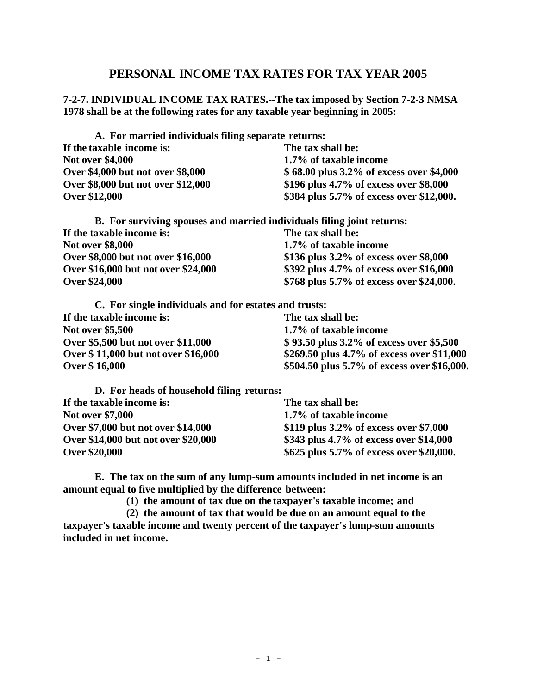## **PERSONAL INCOME TAX RATES FOR TAX YEAR 2005**

**7-2-7. INDIVIDUAL INCOME TAX RATES.--The tax imposed by Section 7-2-3 NMSA 1978 shall be at the following rates for any taxable year beginning in 2005:**

**A. For married individuals filing separate returns: If the taxable income is: The tax shall be: Not over \$4,000 1.7% of taxable income Over \$4,000 but not over \$8,000 \$ 68.00 plus 3.2% of excess over \$4,000 Over \$8,000 but not over \$12,000 \$196 plus 4.7% of excess over \$8,000 Over \$12,000 \$384 plus 5.7% of excess over \$12,000.**

| B. For surviving spouses and married individuals filing joint returns: |                                          |
|------------------------------------------------------------------------|------------------------------------------|
| If the taxable income is:                                              | The tax shall be:                        |
| <b>Not over \$8,000</b>                                                | 1.7% of taxable income                   |
| Over \$8,000 but not over \$16,000                                     | \$136 plus 3.2% of excess over \$8,000   |
| Over \$16,000 but not over \$24,000                                    | \$392 plus 4.7% of excess over \$16,000  |
| <b>Over \$24,000</b>                                                   | \$768 plus 5.7% of excess over \$24,000. |

| C. For single individuals and for estates and trusts: |                                             |
|-------------------------------------------------------|---------------------------------------------|
| If the taxable income is:                             | The tax shall be:                           |
| <b>Not over \$5,500</b>                               | 1.7% of taxable income                      |
| Over \$5,500 but not over \$11,000                    | \$93.50 plus 3.2% of excess over \$5,500    |
| Over \$11,000 but not over \$16,000                   | \$269.50 plus 4.7% of excess over \$11,000  |
| <b>Over \$16,000</b>                                  | \$504.50 plus 5.7% of excess over \$16,000. |

| D. For heads of household filing returns: |                                           |
|-------------------------------------------|-------------------------------------------|
| If the taxable income is:                 | The tax shall be:                         |
| <b>Not over \$7,000</b>                   | 1.7% of taxable income                    |
| Over \$7,000 but not over \$14,000        | \$119 plus $3.2\%$ of excess over \$7,000 |
| Over \$14,000 but not over \$20,000       | \$343 plus 4.7% of excess over \$14,000   |
| <b>Over \$20,000</b>                      | \$625 plus 5.7% of excess over \$20,000.  |

**E. The tax on the sum of any lump-sum amounts included in net income is an amount equal to five multiplied by the difference between:**

**(1) the amount of tax due on the taxpayer's taxable income; and**

**(2) the amount of tax that would be due on an amount equal to the taxpayer's taxable income and twenty percent of the taxpayer's lump-sum amounts included in net income.**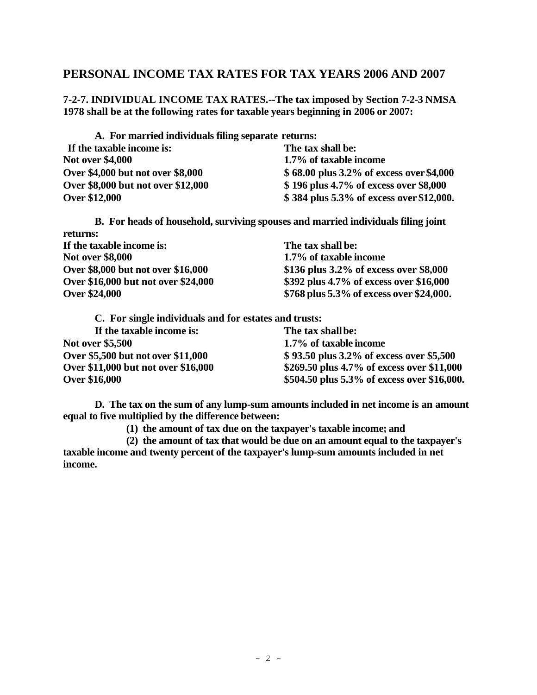## **PERSONAL INCOME TAX RATES FOR TAX YEARS 2006 AND 2007**

**7-2-7. INDIVIDUAL INCOME TAX RATES.--The tax imposed by Section 7-2-3 NMSA 1978 shall be at the following rates for taxable years beginning in 2006 or 2007:**

| A. For married individuals filing separate returns: |                                          |
|-----------------------------------------------------|------------------------------------------|
| If the taxable income is:                           | The tax shall be:                        |
| <b>Not over \$4,000</b>                             | 1.7% of taxable income                   |
| Over \$4,000 but not over \$8,000                   | \$68.00 plus 3.2% of excess over \$4,000 |
| Over \$8,000 but not over \$12,000                  | \$196 plus 4.7% of excess over \$8,000   |
| <b>Over \$12,000</b>                                | \$384 plus 5.3% of excess over \$12,000. |

**B. For heads of household, surviving spouses and married individuals filing joint returns:**

| If the taxable income is:           | The tax shall be:                         |
|-------------------------------------|-------------------------------------------|
| <b>Not over \$8,000</b>             | 1.7% of taxable income                    |
| Over \$8,000 but not over \$16,000  | \$136 plus $3.2\%$ of excess over \$8,000 |
| Over \$16,000 but not over \$24,000 | \$392 plus 4.7% of excess over \$16,000   |
| <b>Over \$24,000</b>                | \$768 plus 5.3% of excess over \$24,000.  |

| C. For single individuals and for estates and trusts: |                                             |
|-------------------------------------------------------|---------------------------------------------|
| If the taxable income is:                             | The tax shall be:                           |
| <b>Not over \$5,500</b>                               | 1.7% of taxable income                      |
| Over \$5,500 but not over \$11,000                    | \$93.50 plus 3.2% of excess over \$5,500    |
| Over \$11,000 but not over \$16,000                   | \$269.50 plus 4.7% of excess over \$11,000  |
| <b>Over \$16,000</b>                                  | \$504.50 plus 5.3% of excess over \$16,000. |

**D. The tax on the sum of any lump-sum amounts included in net income is an amount equal to five multiplied by the difference between:**

**(1) the amount of tax due on the taxpayer's taxable income; and**

**(2) the amount of tax that would be due on an amount equal to the taxpayer's taxable income and twenty percent of the taxpayer's lump-sum amounts included in net income.**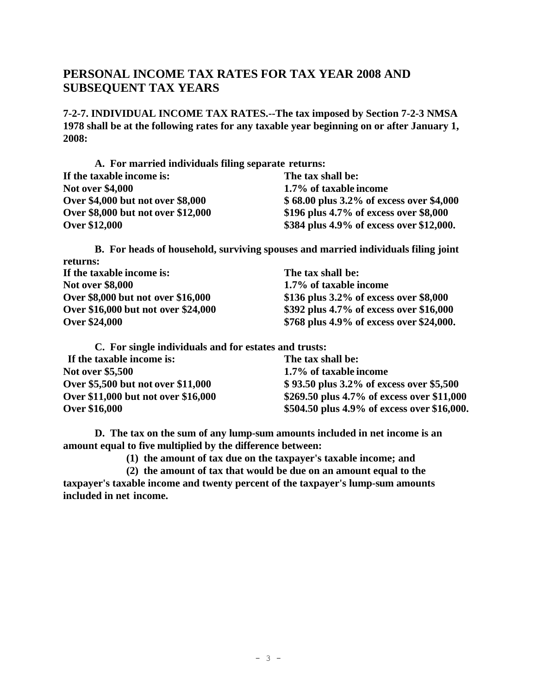## **PERSONAL INCOME TAX RATES FOR TAX YEAR 2008 AND SUBSEQUENT TAX YEARS**

**7-2-7. INDIVIDUAL INCOME TAX RATES.--The tax imposed by Section 7-2-3 NMSA 1978 shall be at the following rates for any taxable year beginning on or after January 1, 2008:**

**A. For married individuals filing separate returns: If the taxable income is: The tax shall be: Not over \$4,000 1.7% of taxable income Over \$4,000 but not over \$8,000 \$ 68.00 plus 3.2% of excess over \$4,000 Over \$8,000 but not over \$12,000 \$196 plus 4.7% of excess over \$8,000 Over \$12,000 \$384 plus 4.9% of excess over \$12,000.**

**B. For heads of household, surviving spouses and married individuals filing joint returns: If the taxable income is: The tax shall be: Not over \$8,000 1.7% of taxable income Over \$8,000 but not over \$16,000 \$136 plus 3.2% of excess over \$8,000** 

**Over \$16,000 but not over \$24,000 \$392 plus 4.7% of excess over \$16,000 Over \$24,000 \$768 plus 4.9% of excess over \$24,000.**

**C. For single individuals and for estates and trusts:**

| If the taxable income is:           | The tax shall be:                           |
|-------------------------------------|---------------------------------------------|
| <b>Not over \$5,500</b>             | 1.7% of taxable income                      |
| Over \$5,500 but not over \$11,000  | \$93.50 plus 3.2% of excess over \$5,500    |
| Over \$11,000 but not over \$16,000 | \$269.50 plus 4.7% of excess over \$11,000  |
| <b>Over \$16,000</b>                | \$504.50 plus 4.9% of excess over \$16,000. |

**D. The tax on the sum of any lump-sum amounts included in net income is an amount equal to five multiplied by the difference between:**

**(1) the amount of tax due on the taxpayer's taxable income; and**

**(2) the amount of tax that would be due on an amount equal to the taxpayer's taxable income and twenty percent of the taxpayer's lump-sum amounts included in net income.**